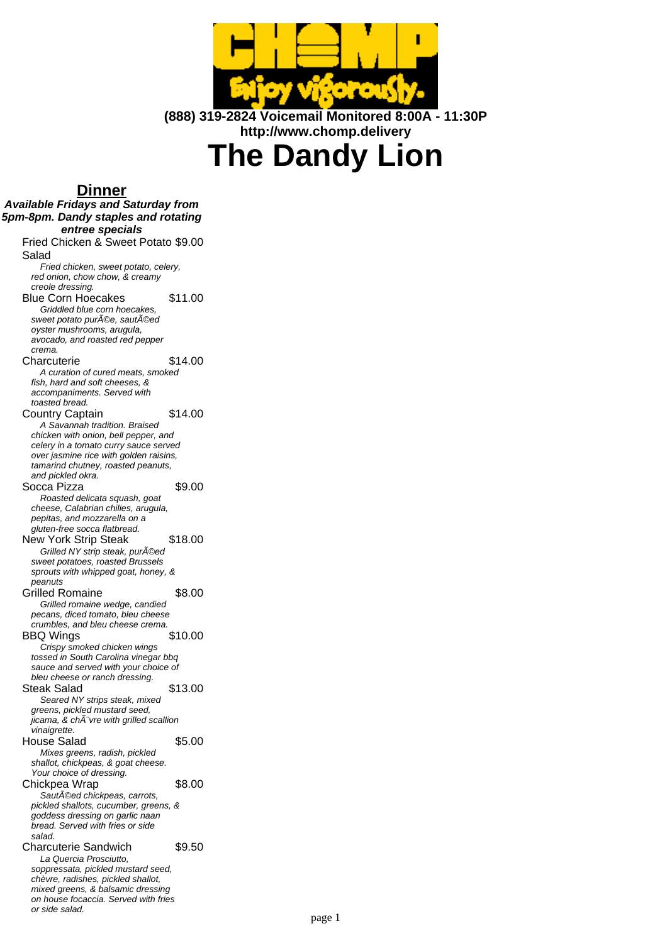

**(888) 319-2824 Voicemail Monitored 8:00A - 11:30P http://www.chomp.delivery**

# **The Dandy Lion**

## **Dinner**

| וסווווע                                                                  |         |
|--------------------------------------------------------------------------|---------|
| <b>Available Fridays and Saturday from</b>                               |         |
| 5pm-8pm. Dandy staples and rotating                                      |         |
| entree specials                                                          |         |
| Fried Chicken & Sweet Potato \$9.00                                      |         |
| Salad                                                                    |         |
| Fried chicken, sweet potato, celery,<br>red onion, chow chow, & creamy   |         |
| creole dressing.                                                         |         |
| <b>Blue Corn Hoecakes</b>                                                | \$11.00 |
| Griddled blue corn hoecakes,                                             |         |
| sweet potato purée, sautéed                                              |         |
| oyster mushrooms, arugula,<br>avocado, and roasted red pepper            |         |
| crema.                                                                   |         |
| Charcuterie                                                              | \$14.00 |
| A curation of cured meats, smoked                                        |         |
| fish, hard and soft cheeses, &                                           |         |
| accompaniments. Served with<br>toasted bread.                            |         |
| Country Captain                                                          | \$14.00 |
| A Savannah tradition. Braised                                            |         |
| chicken with onion, bell pepper, and                                     |         |
| celery in a tomato curry sauce served                                    |         |
| over jasmine rice with golden raisins,                                   |         |
| tamarind chutney, roasted peanuts,<br>and pickled okra.                  |         |
| Socca Pizza                                                              | \$9.00  |
| Roasted delicata squash, goat                                            |         |
| cheese, Calabrian chilies, arugula,                                      |         |
| pepitas, and mozzarella on a                                             |         |
| gluten-free socca flatbread.<br><b>New York Strip Steak</b>              | \$18.00 |
| Grilled NY strip steak, pur©ed                                           |         |
| sweet potatoes, roasted Brussels                                         |         |
| sprouts with whipped goat, honey, &                                      |         |
| peanuts                                                                  |         |
| Grilled Romaine                                                          | \$8.00  |
| Grilled romaine wedge, candied<br>pecans, diced tomato, bleu cheese      |         |
| crumbles, and bleu cheese crema.                                         |         |
| <b>BBQ Wings</b>                                                         | \$10.00 |
| Crispy smoked chicken wings                                              |         |
| tossed in South Carolina vinegar bbg                                     |         |
| sauce and served with your choice of<br>bleu cheese or ranch dressing.   |         |
| Steak Salad                                                              | \$13.00 |
| Seared NY strips steak, mixed                                            |         |
| greens, pickled mustard seed,                                            |         |
| jicama, & ch vre with grilled scallion                                   |         |
| vinaigrette.                                                             | \$5.00  |
| House Salad<br>Mixes greens, radish, pickled                             |         |
| shallot, chickpeas, & goat cheese.                                       |         |
| Your choice of dressing.                                                 |         |
| Chickpea Wrap                                                            | \$8.00  |
| Sautéed chickpeas, carrots,                                              |         |
| pickled shallots, cucumber, greens, &<br>goddess dressing on garlic naan |         |
| bread. Served with fries or side                                         |         |
| salad.                                                                   |         |
| <b>Charcuterie Sandwich</b>                                              | \$9.50  |
| La Quercia Prosciutto.                                                   |         |
| soppressata, pickled mustard seed,                                       |         |
| chèvre, radishes, pickled shallot,<br>mixed greens, & balsamic dressing  |         |
| on house focaccia. Served with fries                                     |         |
| or side salad.                                                           |         |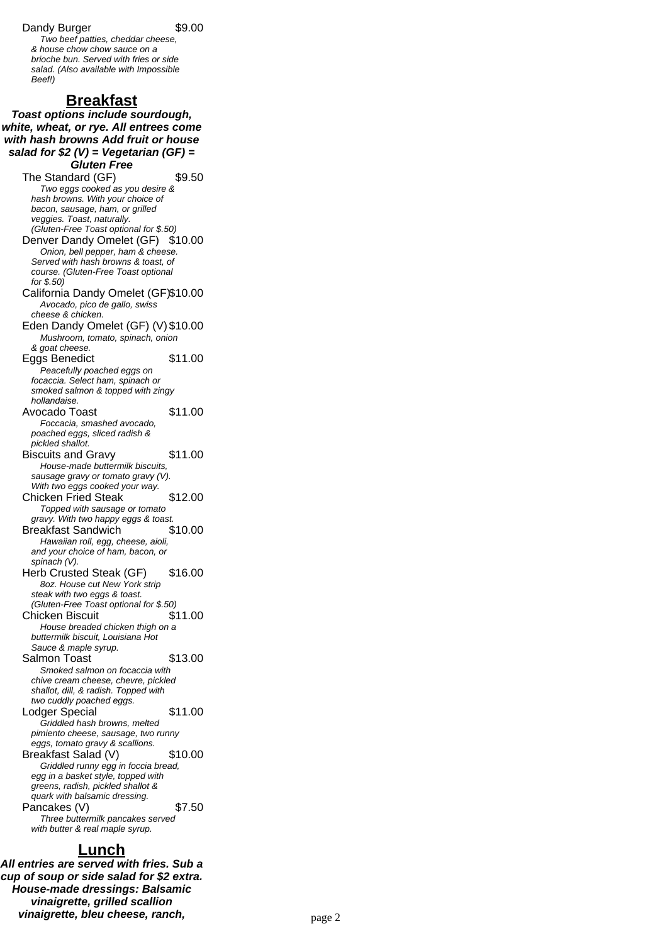### Dandy Burger \$9.00

Two beef patties, cheddar cheese, & house chow chow sauce on a brioche bun. Served with fries or side salad. (Also available with Impossible Beef!)

## **Breakfast**

**Toast options include sourdough, white, wheat, or rye. All entrees come with hash browns Add fruit or house salad for \$2 (V) = Vegetarian (GF) = Gluten Free** The Standard (GF) \$9.50 Two eggs cooked as you desire & hash browns. With your choice of bacon, sausage, ham, or grilled veggies. Toast, naturally. (Gluten-Free Toast optional for \$.50) Denver Dandy Omelet (GF) \$10.00 Onion, bell pepper, ham & cheese. Served with hash browns & toast, of course. (Gluten-Free Toast optional for \$.50) California Dandy Omelet (GF)\$10.00 Avocado, pico de gallo, swiss cheese & chicken. Eden Dandy Omelet (GF) (V) \$10.00 Mushroom, tomato, spinach, onion & goat cheese. Eggs Benedict \$11.00 Peacefully poached eggs on focaccia. Select ham, spinach or smoked salmon & topped with zingy hollandaise. Avocado Toast \$11.00 Foccacia, smashed avocado, poached eggs, sliced radish & pickled shallot. Biscuits and Gravy \$11.00 House-made buttermilk biscuits, sausage gravy or tomato gravy (V). With two eggs cooked your way. Chicken Fried Steak \$12.00 Topped with sausage or tomato gravy. With two happy eggs & toast. Breakfast Sandwich \$10.00 Hawaiian roll, egg, cheese, aioli, and your choice of ham, bacon, or spinach (V). Herb Crusted Steak (GF) \$16.00 8oz. House cut New York strip steak with two eggs & toast. (Gluten-Free Toast optional for \$.50) Chicken Biscuit \$11.00 House breaded chicken thigh on a buttermilk biscuit, Louisiana Hot Sauce & maple syrup. Salmon Toast \$13.00 Smoked salmon on focaccia with chive cream cheese, chevre, pickled shallot, dill, & radish. Topped with two cuddly poached eggs. Lodger Special \$11.00 Griddled hash browns, melted pimiento cheese, sausage, two runny eggs, tomato gravy & scallions. Breakfast Salad (V) \$10.00 Griddled runny egg in foccia bread, egg in a basket style, topped with greens, radish, pickled shallot & quark with balsamic dressing. Pancakes (V)  $$7.50$ Three buttermilk pancakes served with butter & real maple syrup.

## **Lunch**

**All entries are served with fries. Sub a cup of soup or side salad for \$2 extra. House-made dressings: Balsamic vinaigrette, grilled scallion vinaigrette, bleu cheese, ranch, many compare the compare 2**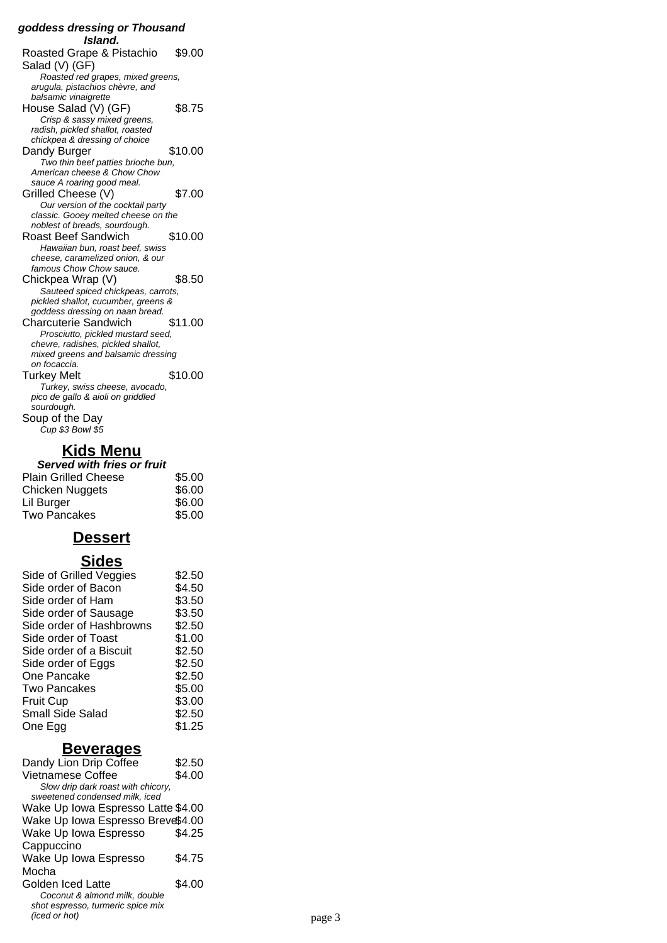#### **goddess dressing or Thousand Island.** Roasted Grape & Pistachio Salad (V) (GF) \$9.00 Roasted red grapes, mixed greens, arugula, pistachios chèvre, and balsamic vinaigrette House Salad (V) (GF) \$8.75 Crisp & sassy mixed greens, radish, pickled shallot, roasted chickpea & dressing of choice Dandy Burger \$10.00 Two thin beef patties brioche bun, American cheese & Chow Chow sauce A roaring good meal. Grilled Cheese (V) \$7.00 Our version of the cocktail party classic. Gooey melted cheese on the noblest of breads, sourdough. Roast Beef Sandwich \$10.00 Hawaiian bun, roast beef, swiss cheese, caramelized onion, & our famous Chow Chow sauce. Chickpea Wrap (V) \$8.50 Sauteed spiced chickpeas, carrots, pickled shallot, cucumber, greens & goddess dressing on naan bread. Charcuterie Sandwich \$11.00 Prosciutto, pickled mustard seed, chevre, radishes, pickled shallot, mixed greens and balsamic dressing on focaccia. Turkey Melt \$10.00 Turkey, swiss cheese, avocado, pico de gallo & aioli on griddled sourdough. Soup of the Day Cup \$3 Bowl \$5

## **Kids Menu**

| Served with fries or fruit  |        |  |
|-----------------------------|--------|--|
| <b>Plain Grilled Cheese</b> | \$5.00 |  |
| Chicken Nuggets             | \$6.00 |  |
| Lil Burger                  | \$6.00 |  |
| <b>Two Pancakes</b>         | \$5.00 |  |

## **Dessert**

## **Sides**

| Side of Grilled Veggies  | \$2.50 |
|--------------------------|--------|
| Side order of Bacon      | \$4.50 |
| Side order of Ham        | \$3.50 |
| Side order of Sausage    | \$3.50 |
| Side order of Hashbrowns | \$2.50 |
| Side order of Toast      | \$1.00 |
| Side order of a Biscuit  | \$2.50 |
| Side order of Eggs       | \$2.50 |
| One Pancake              | \$2.50 |
| <b>Two Pancakes</b>      | \$5.00 |
| <b>Fruit Cup</b>         | \$3.00 |
| Small Side Salad         | \$2.50 |
| One Egg                  | \$1.25 |
|                          |        |

## **Beverages**

| Dandy Lion Drip Coffee                                               | \$2.50 |        |
|----------------------------------------------------------------------|--------|--------|
| <b>Vietnamese Coffee</b>                                             | \$4.00 |        |
| Slow drip dark roast with chicory.<br>sweetened condensed milk, iced |        |        |
| Wake Up Iowa Espresso Latte \$4.00                                   |        |        |
| Wake Up Iowa Espresso Breve\$4.00                                    |        |        |
| Wake Up Iowa Espresso                                                | \$4.25 |        |
| Cappuccino                                                           |        |        |
| Wake Up Iowa Espresso                                                | \$4.75 |        |
| Mocha                                                                |        |        |
| Golden Iced Latte                                                    | \$4.00 |        |
| Coconut & almond milk, double                                        |        |        |
| shot espresso, turmeric spice mix                                    |        |        |
| (iced or hot)                                                        |        | page 3 |